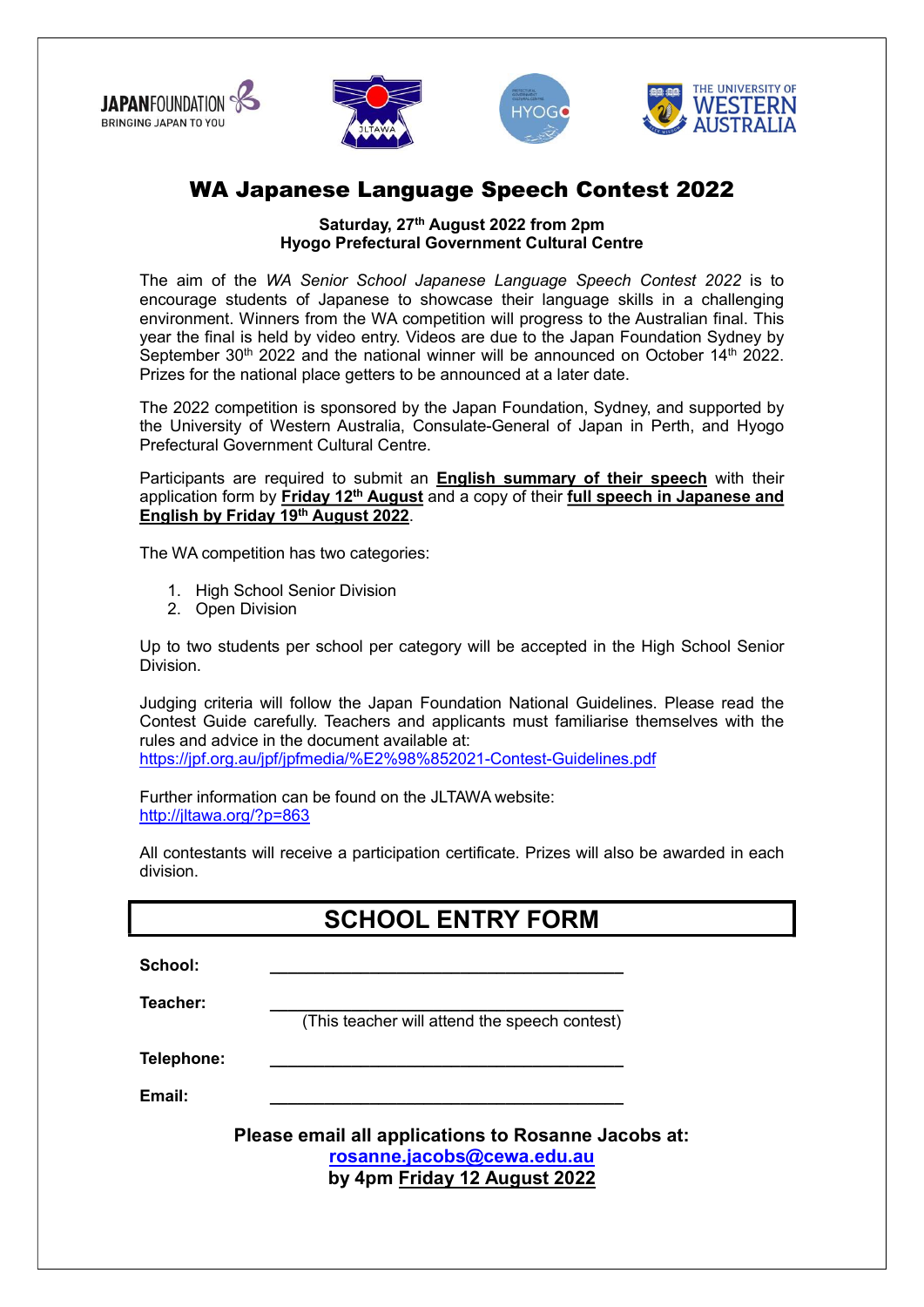







## WA Japanese Language Speech Contest 2022

Saturday, 27<sup>th</sup> August 2022 from 2pm Hyogo Prefectural Government Cultural Centre

The aim of the WA Senior School Japanese Language Speech Contest 2022 is to encourage students of Japanese to showcase their language skills in a challenging environment. Winners from the WA competition will progress to the Australian final. This year the final is held by video entry. Videos are due to the Japan Foundation Sydney by September 30<sup>th</sup> 2022 and the national winner will be announced on October 14<sup>th</sup> 2022. Prizes for the national place getters to be announced at a later date.

The 2022 competition is sponsored by the Japan Foundation, Sydney, and supported by the University of Western Australia, Consulate-General of Japan in Perth, and Hyogo Prefectural Government Cultural Centre.

Participants are required to submit an **English summary of their speech** with their application form by Friday 12<sup>th</sup> August and a copy of their full speech in Japanese and English by Friday 19th August 2022.

The WA competition has two categories:

- 1. High School Senior Division
- 2. Open Division

Up to two students per school per category will be accepted in the High School Senior Division.

Judging criteria will follow the Japan Foundation National Guidelines. Please read the Contest Guide carefully. Teachers and applicants must familiarise themselves with the rules and advice in the document available at: https://jpf.org.au/jpf/jpfmedia/%E2%98%852021-Contest-Guidelines.pdf

Further information can be found on the JLTAWA website: http://jltawa.org/?p=863

All contestants will receive a participation certificate. Prizes will also be awarded in each division.

## SCHOOL ENTRY FORM

| School: |  |  |  |
|---------|--|--|--|
|         |  |  |  |

Teacher:

(This teacher will attend the speech contest)

Telephone:

Email: \_\_\_\_\_\_\_\_\_\_\_\_\_\_\_\_\_\_\_\_\_\_\_\_\_\_\_\_\_\_\_\_\_\_\_\_\_\_\_

Please email all applications to Rosanne Jacobs at: rosanne.jacobs@cewa.edu.au by 4pm Friday 12 August 2022